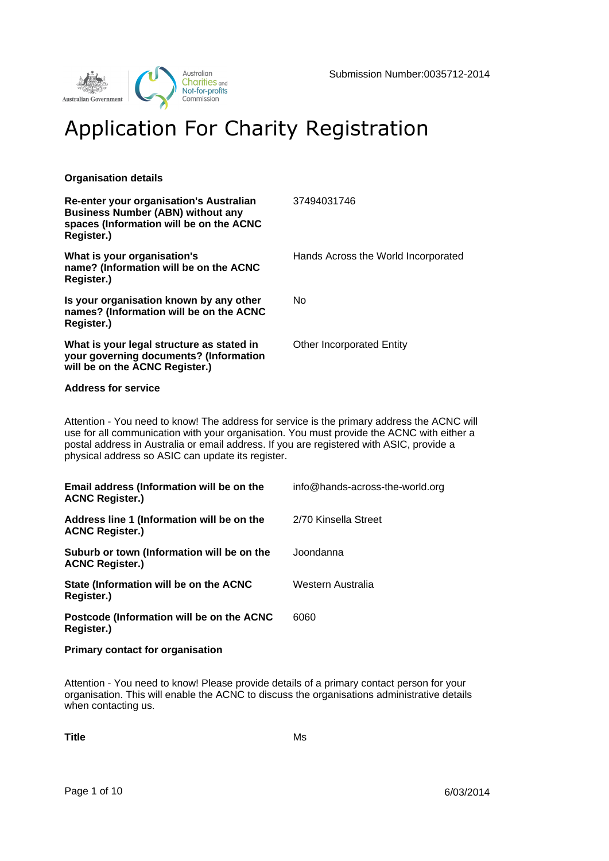

# Application For Charity Registration

## **Organisation details**

| Re-enter your organisation's Australian<br><b>Business Number (ABN) without any</b><br>spaces (Information will be on the ACNC<br>Register.)                                                                                                                                                                                             | 37494031746                         |
|------------------------------------------------------------------------------------------------------------------------------------------------------------------------------------------------------------------------------------------------------------------------------------------------------------------------------------------|-------------------------------------|
| What is your organisation's<br>name? (Information will be on the ACNC<br>Register.)                                                                                                                                                                                                                                                      | Hands Across the World Incorporated |
| Is your organisation known by any other<br>names? (Information will be on the ACNC<br>Register.)                                                                                                                                                                                                                                         | <b>No</b>                           |
| What is your legal structure as stated in<br>your governing documents? (Information<br>will be on the ACNC Register.)                                                                                                                                                                                                                    | <b>Other Incorporated Entity</b>    |
| <b>Address for service</b>                                                                                                                                                                                                                                                                                                               |                                     |
| Attention - You need to know! The address for service is the primary address the ACNC will<br>use for all communication with your organisation. You must provide the ACNC with either a<br>postal address in Australia or email address. If you are registered with ASIC, provide a<br>physical address so ASIC can update its register. |                                     |
| Email address (Information will be on the<br><b>ACNC Register.)</b>                                                                                                                                                                                                                                                                      | info@hands-across-the-world.org     |
| Address line 1 (Information will be on the<br><b>ACNC Register.)</b>                                                                                                                                                                                                                                                                     | 2/70 Kinsella Street                |
| Suburb or town (Information will be on the<br><b>ACNC Register.)</b>                                                                                                                                                                                                                                                                     | Joondanna                           |
| State (Information will be on the ACNC<br>Register.)                                                                                                                                                                                                                                                                                     | Western Australia                   |
| Postcode (Information will be on the ACNC<br>Register.)                                                                                                                                                                                                                                                                                  | 6060                                |

**Primary contact for organisation**

Attention - You need to know! Please provide details of a primary contact person for your organisation. This will enable the ACNC to discuss the organisations administrative details when contacting us.

**Title** Ms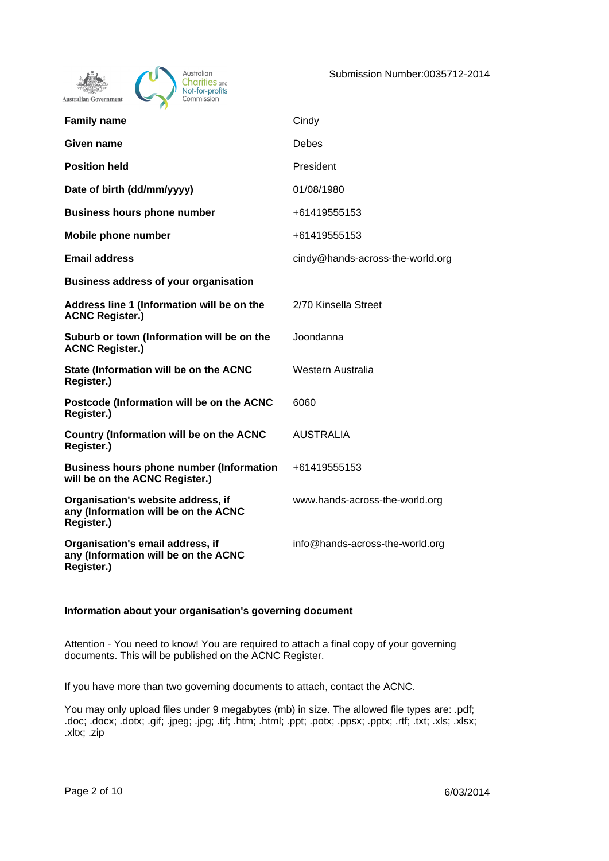



| <b>Family name</b>                                                                       | Cindy                            |
|------------------------------------------------------------------------------------------|----------------------------------|
| Given name                                                                               | <b>Debes</b>                     |
| <b>Position held</b>                                                                     | President                        |
| Date of birth (dd/mm/yyyy)                                                               | 01/08/1980                       |
| <b>Business hours phone number</b>                                                       | +61419555153                     |
| Mobile phone number                                                                      | +61419555153                     |
| <b>Email address</b>                                                                     | cindy@hands-across-the-world.org |
| <b>Business address of your organisation</b>                                             |                                  |
| Address line 1 (Information will be on the<br><b>ACNC Register.)</b>                     | 2/70 Kinsella Street             |
| Suburb or town (Information will be on the<br><b>ACNC Register.)</b>                     | Joondanna                        |
| State (Information will be on the ACNC<br>Register.)                                     | Western Australia                |
| Postcode (Information will be on the ACNC<br>Register.)                                  | 6060                             |
| Country (Information will be on the ACNC<br>Register.)                                   | <b>AUSTRALIA</b>                 |
| <b>Business hours phone number (Information</b><br>will be on the ACNC Register.)        | +61419555153                     |
| Organisation's website address, if<br>any (Information will be on the ACNC<br>Register.) | www.hands-across-the-world.org   |
| Organisation's email address, if<br>any (Information will be on the ACNC<br>Register.)   | info@hands-across-the-world.org  |

#### **Information about your organisation's governing document**

Attention - You need to know! You are required to attach a final copy of your governing documents. This will be published on the ACNC Register.

If you have more than two governing documents to attach, contact the ACNC.

You may only upload files under 9 megabytes (mb) in size. The allowed file types are: .pdf; .doc; .docx; .dotx; .gif; .jpeg; .jpg; .tif; .htm; .html; .ppt; .potx; .ppsx; .pptx; .rtf; .txt; .xls; .xlsx; .xltx; .zip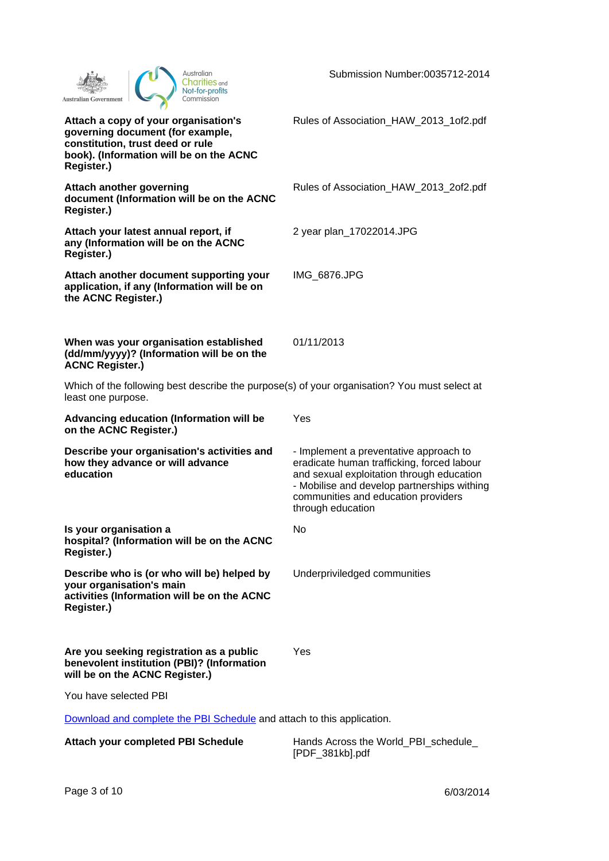| Australian<br>Charities <sub>and</sub><br>Not-for-profits<br>Commission<br>Australian Government                                                                      | Submission Number:0035712-2014                                                                                                                                                                                                               |
|-----------------------------------------------------------------------------------------------------------------------------------------------------------------------|----------------------------------------------------------------------------------------------------------------------------------------------------------------------------------------------------------------------------------------------|
| Attach a copy of your organisation's<br>governing document (for example,<br>constitution, trust deed or rule<br>book). (Information will be on the ACNC<br>Register.) | Rules of Association_HAW_2013_1of2.pdf                                                                                                                                                                                                       |
| <b>Attach another governing</b><br>document (Information will be on the ACNC<br>Register.)                                                                            | Rules of Association_HAW_2013_2of2.pdf                                                                                                                                                                                                       |
| Attach your latest annual report, if<br>any (Information will be on the ACNC<br>Register.)                                                                            | 2 year plan_17022014.JPG                                                                                                                                                                                                                     |
| Attach another document supporting your<br>application, if any (Information will be on<br>the ACNC Register.)                                                         | IMG_6876.JPG                                                                                                                                                                                                                                 |
| When was your organisation established<br>(dd/mm/yyyy)? (Information will be on the<br><b>ACNC Register.)</b>                                                         | 01/11/2013                                                                                                                                                                                                                                   |
| Which of the following best describe the purpose(s) of your organisation? You must select at<br>least one purpose.                                                    |                                                                                                                                                                                                                                              |
| Advancing education (Information will be<br>on the ACNC Register.)                                                                                                    | Yes                                                                                                                                                                                                                                          |
| Describe your organisation's activities and<br>how they advance or will advance<br>education                                                                          | - Implement a preventative approach to<br>eradicate human trafficking, forced labour<br>and sexual exploitation through education<br>- Mobilise and develop partnerships withing<br>communities and education providers<br>through education |
| Is your organisation a<br>hospital? (Information will be on the ACNC<br>Register.)                                                                                    | No                                                                                                                                                                                                                                           |
| Describe who is (or who will be) helped by<br>your organisation's main<br>activities (Information will be on the ACNC<br>Register.)                                   | Underpriviledged communities                                                                                                                                                                                                                 |
| Are you seeking registration as a public<br>benevolent institution (PBI)? (Information<br>will be on the ACNC Register.)                                              | Yes                                                                                                                                                                                                                                          |
| You have selected PBI                                                                                                                                                 |                                                                                                                                                                                                                                              |
| Download and complete the PBI Schedule and attach to this application.                                                                                                |                                                                                                                                                                                                                                              |
| Attach your completed PBI Schedule                                                                                                                                    | Hands Across the World_PBI_schedule_<br>[PDF_381kb].pdf                                                                                                                                                                                      |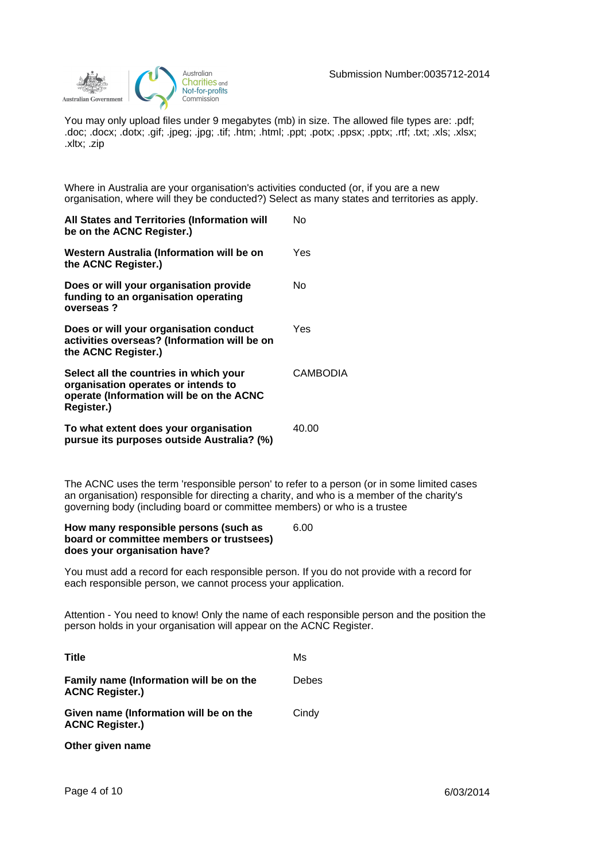

You may only upload files under 9 megabytes (mb) in size. The allowed file types are: .pdf; .doc; .docx; .dotx; .gif; .jpeg; .jpg; .tif; .htm; .html; .ppt; .potx; .ppsx; .pptx; .rtf; .txt; .xls; .xlsx; .xltx; .zip

Where in Australia are your organisation's activities conducted (or, if you are a new organisation, where will they be conducted?) Select as many states and territories as apply.

| All States and Territories (Information will<br>be on the ACNC Register.)                                                               | No              |
|-----------------------------------------------------------------------------------------------------------------------------------------|-----------------|
| Western Australia (Information will be on<br>the ACNC Register.)                                                                        | Yes             |
| Does or will your organisation provide<br>funding to an organisation operating<br>overseas?                                             | No              |
| Does or will your organisation conduct<br>activities overseas? (Information will be on<br>the ACNC Register.)                           | Yes             |
| Select all the countries in which your<br>organisation operates or intends to<br>operate (Information will be on the ACNC<br>Register.) | <b>CAMBODIA</b> |
| To what extent does your organisation<br>pursue its purposes outside Australia? (%)                                                     | 40.00           |

The ACNC uses the term 'responsible person' to refer to a person (or in some limited cases an organisation) responsible for directing a charity, and who is a member of the charity's governing body (including board or committee members) or who is a trustee

| How many responsible persons (such as    | 6.00 |
|------------------------------------------|------|
| board or committee members or trustsees) |      |
| does your organisation have?             |      |

You must add a record for each responsible person. If you do not provide with a record for each responsible person, we cannot process your application.

Attention - You need to know! Only the name of each responsible person and the position the person holds in your organisation will appear on the ACNC Register.

| <b>Title</b>                                                      | Ms           |
|-------------------------------------------------------------------|--------------|
| Family name (Information will be on the<br><b>ACNC Register.)</b> | <b>Debes</b> |
| Given name (Information will be on the<br><b>ACNC Register.)</b>  | Cindy        |
| Other given name                                                  |              |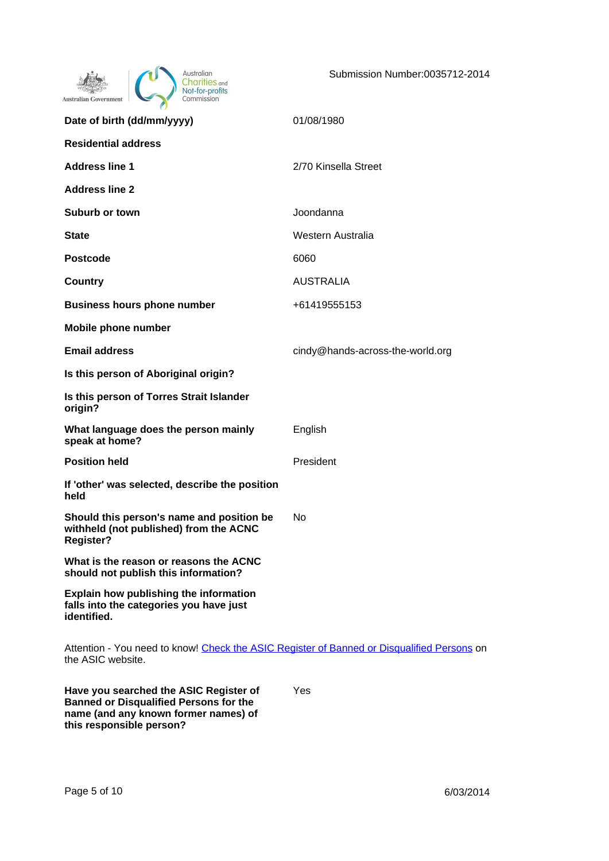| Australian<br><b>ities</b> and<br>Not-for-profits<br>Commission<br>Australian Government                        | Submission Number:0035712-2014   |
|-----------------------------------------------------------------------------------------------------------------|----------------------------------|
| Date of birth (dd/mm/yyyy)                                                                                      | 01/08/1980                       |
| <b>Residential address</b>                                                                                      |                                  |
| <b>Address line 1</b>                                                                                           | 2/70 Kinsella Street             |
| <b>Address line 2</b>                                                                                           |                                  |
| Suburb or town                                                                                                  | Joondanna                        |
| State                                                                                                           | Western Australia                |
| <b>Postcode</b>                                                                                                 | 6060                             |
| Country                                                                                                         | <b>AUSTRALIA</b>                 |
| <b>Business hours phone number</b>                                                                              | +61419555153                     |
| Mobile phone number                                                                                             |                                  |
| <b>Email address</b>                                                                                            | cindy@hands-across-the-world.org |
| Is this person of Aboriginal origin?                                                                            |                                  |
| Is this person of Torres Strait Islander<br>origin?                                                             |                                  |
| What language does the person mainly<br>speak at home?                                                          | English                          |
| <b>Position held</b>                                                                                            | President                        |
| If 'other' was selected, describe the position<br>held                                                          |                                  |
| Should this person's name and position be<br>withheld (not published) from the ACNC<br><b>Register?</b>         | No                               |
| What is the reason or reasons the ACNC<br>should not publish this information?                                  |                                  |
| Explain how publishing the information<br>falls into the categories you have just<br>identified.                |                                  |
| Attention - You need to know! Check the ASIC Register of Banned or Disqualified Persons on<br>the ASIC website. |                                  |
| Have you searched the ASIC Register of<br><b>Banned or Disqualified Persons for the</b>                         | Yes                              |

**name (and any known former names) of** 

**this responsible person?**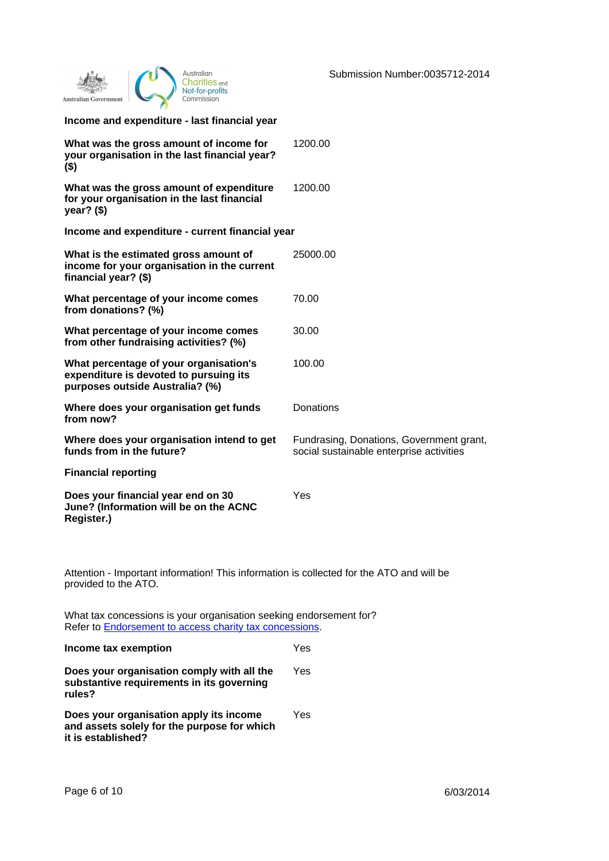| Australian<br>Charities <sub>and</sub><br>Not-for-profits<br>Commission<br><b>Australian Government</b>                               | Submission Number:0035712-2014                                                       |
|---------------------------------------------------------------------------------------------------------------------------------------|--------------------------------------------------------------------------------------|
| Income and expenditure - last financial year                                                                                          |                                                                                      |
| What was the gross amount of income for<br>your organisation in the last financial year?<br>$($ \$)                                   | 1200.00                                                                              |
| What was the gross amount of expenditure<br>for your organisation in the last financial<br>year? $($ \$)                              | 1200.00                                                                              |
| Income and expenditure - current financial year                                                                                       |                                                                                      |
| What is the estimated gross amount of<br>income for your organisation in the current<br>financial year? (\$)                          | 25000.00                                                                             |
| What percentage of your income comes<br>from donations? (%)                                                                           | 70.00                                                                                |
| What percentage of your income comes<br>from other fundraising activities? (%)                                                        | 30.00                                                                                |
| What percentage of your organisation's<br>expenditure is devoted to pursuing its<br>purposes outside Australia? (%)                   | 100.00                                                                               |
| Where does your organisation get funds<br>from now?                                                                                   | Donations                                                                            |
| Where does your organisation intend to get<br>funds from in the future?                                                               | Fundrasing, Donations, Government grant,<br>social sustainable enterprise activities |
| <b>Financial reporting</b>                                                                                                            |                                                                                      |
| Does your financial year end on 30<br>June? (Information will be on the ACNC<br>Register.)                                            | Yes                                                                                  |
|                                                                                                                                       |                                                                                      |
| Attention - Important information! This information is collected for the ATO and will be<br>provided to the ATO.                      |                                                                                      |
| What tax concessions is your organisation seeking endorsement for?<br>Refer to <b>Endorsement to access charity tax concessions</b> . |                                                                                      |
| Income tax exemption                                                                                                                  | Yes                                                                                  |
| Does your organisation comply with all the<br>substantive requirements in its governing<br>rules?                                     | Yes                                                                                  |

**Does your organisation apply its income and assets solely for the purpose for which it is established?** Yes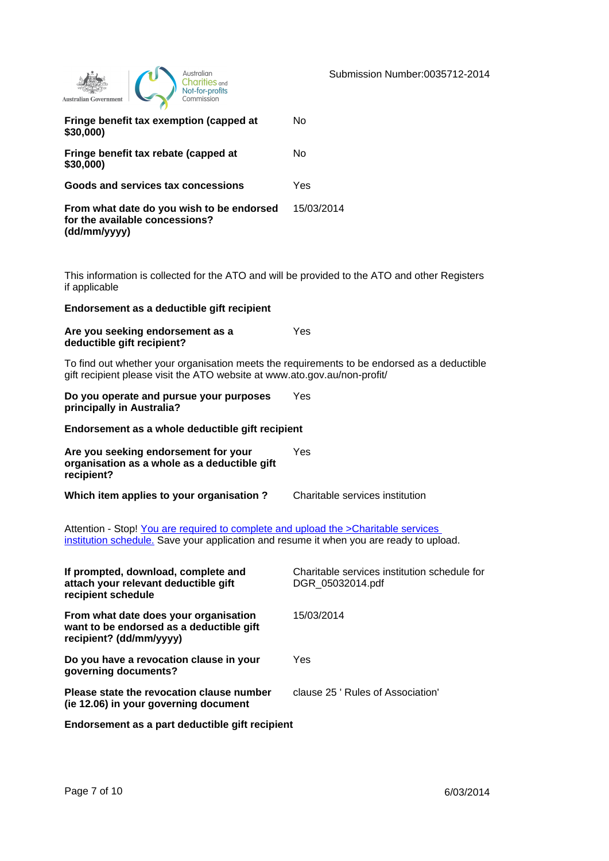| Australian<br>Commission<br><b>Australian Government</b>                                                       | Submission Number:0035712-201 |
|----------------------------------------------------------------------------------------------------------------|-------------------------------|
| Fringe benefit tax exemption (capped at<br>\$30,000)                                                           | No                            |
| Fringe benefit tax rebate (capped at<br>\$30,000)                                                              | No                            |
| Goods and services tax concessions                                                                             | Yes                           |
| From what date do you wish to be endorsed<br>for the available concessions?<br>(dd/mm/yyyy)                    | 15/03/2014                    |
| This information is collected for the ATO and will be provided to the ATO and other Registers<br>if applicable |                               |
| Endorsement as a deductible gift recipient                                                                     |                               |
| Are you seeking endorsement as a<br>deductible gift recipient?                                                 | Yes                           |

To find out whether your organisation meets the requirements to be endorsed as a deductible gift recipient please visit the ATO website at www.ato.gov.au/non-profit/

**Do you operate and pursue your purposes principally in Australia?** Yes

**Endorsement as a whole deductible gift recipient**

| Are you seeking endorsement for your<br>organisation as a whole as a deductible gift<br>recipient? | Yes                             |  |
|----------------------------------------------------------------------------------------------------|---------------------------------|--|
| Which item applies to your organisation?                                                           | Charitable services institution |  |

Attention - Stop! You are required to complete and upload the >Charitable services [institution schedule.](http://www.ato.gov.au/nonprofit/content.aspx?doc=/content/77040.htm) Save your application and resume it when you are ready to upload.

| If prompted, download, complete and<br>attach your relevant deductible gift<br>recipient schedule            | Charitable services institution schedule for<br>DGR 05032014.pdf |
|--------------------------------------------------------------------------------------------------------------|------------------------------------------------------------------|
| From what date does your organisation<br>want to be endorsed as a deductible gift<br>recipient? (dd/mm/yyyy) | 15/03/2014                                                       |
| Do you have a revocation clause in your<br>governing documents?                                              | Yes                                                              |
| Please state the revocation clause number<br>(ie 12.06) in your governing document                           | clause 25 ' Rules of Association'                                |
| Endorsement as a part deductible gift recipient                                                              |                                                                  |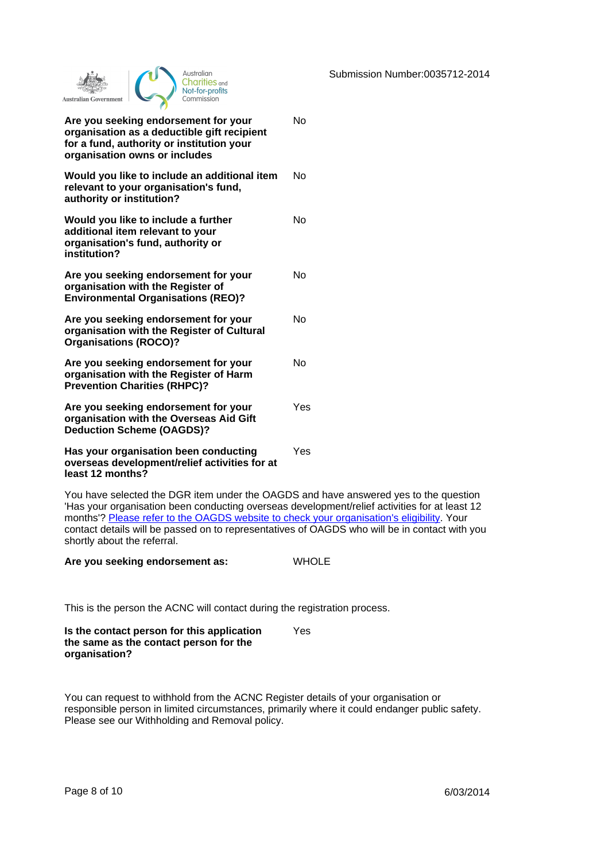Submission Number:0035712-2014

| Australian<br><b>arities</b> and<br>Not-for-profits<br>Commission<br><b>Australian Government</b>                                                                       |     |
|-------------------------------------------------------------------------------------------------------------------------------------------------------------------------|-----|
| Are you seeking endorsement for your<br>N٥<br>organisation as a deductible gift recipient<br>for a fund, authority or institution your<br>organisation owns or includes |     |
| Would you like to include an additional item<br>relevant to your organisation's fund,<br>authority or institution?                                                      | N٥  |
| Would you like to include a further<br>additional item relevant to your<br>organisation's fund, authority or<br>institution?                                            | N٥  |
| Are you seeking endorsement for your<br>organisation with the Register of<br><b>Environmental Organisations (REO)?</b>                                                  | No  |
| Are you seeking endorsement for your<br>organisation with the Register of Cultural<br><b>Organisations (ROCO)?</b>                                                      | N٥  |
| Are you seeking endorsement for your<br>organisation with the Register of Harm<br><b>Prevention Charities (RHPC)?</b>                                                   | No  |
| Are you seeking endorsement for your<br>organisation with the Overseas Aid Gift<br><b>Deduction Scheme (OAGDS)?</b>                                                     | Yes |
| Has your organisation been conducting<br>overseas development/relief activities for at<br>least 12 months?                                                              | Yes |

You have selected the DGR item under the OAGDS and have answered yes to the question 'Has your organisation been conducting overseas development/relief activities for at least 12 months'? [Please refer to the OAGDS website to check your organisation's eligibility](http://aid.dfat.gov.au/Publications/Pages/oagds-guidelines.aspx). Your contact details will be passed on to representatives of OAGDS who will be in contact with you shortly about the referral.

**Are you seeking endorsement as:** WHOLE

This is the person the ACNC will contact during the registration process.

| Is the contact person for this application | Yes. |
|--------------------------------------------|------|
| the same as the contact person for the     |      |
| organisation?                              |      |

You can request to withhold from the ACNC Register details of your organisation or responsible person in limited circumstances, primarily where it could endanger public safety. Please see our Withholding and Removal policy.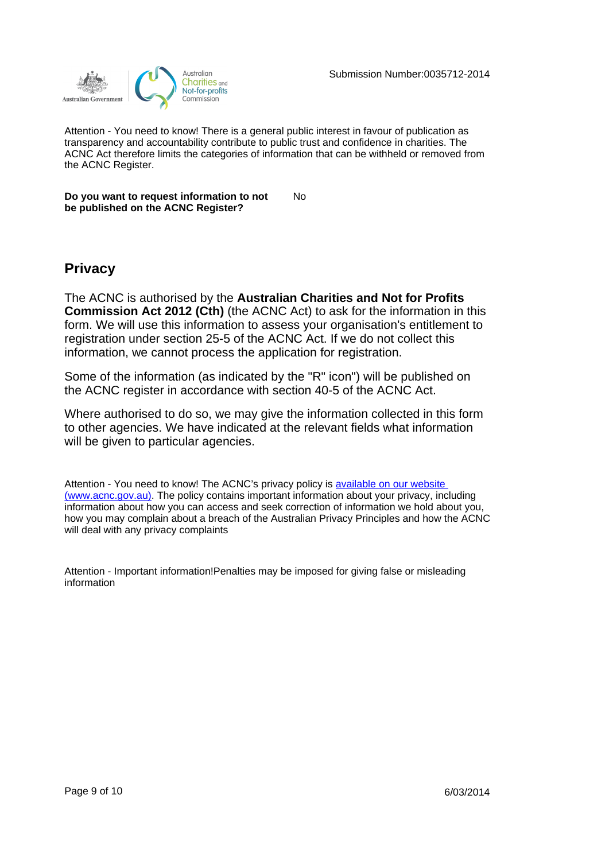

Attention - You need to know! There is a general public interest in favour of publication as transparency and accountability contribute to public trust and confidence in charities. The ACNC Act therefore limits the categories of information that can be withheld or removed from the ACNC Register.

**Do you want to request information to not be published on the ACNC Register?** No

### **Privacy**

The ACNC is authorised by the **Australian Charities and Not for Profits Commission Act 2012 (Cth)** (the ACNC Act) to ask for the information in this form. We will use this information to assess your organisation's entitlement to registration under section 25-5 of the ACNC Act. If we do not collect this information, we cannot process the application for registration.

Some of the information (as indicated by the "R" icon") will be published on the ACNC register in accordance with section 40-5 of the ACNC Act.

Where authorised to do so, we may give the information collected in this form to other agencies. We have indicated at the relevant fields what information will be given to particular agencies.

Attention - You need to know! The ACNC's privacy policy is available on our website [\(www.acnc.gov.au\)](http://www.acnc.gov.au/). The policy contains important information about your privacy, including information about how you can access and seek correction of information we hold about you, how you may complain about a breach of the Australian Privacy Principles and how the ACNC will deal with any privacy complaints

Attention - Important information!Penalties may be imposed for giving false or misleading information